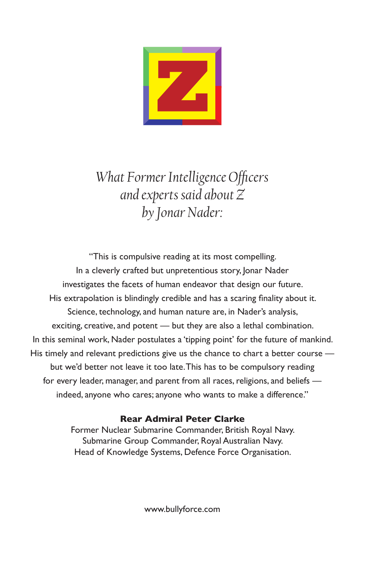

*What Former Intelligence Officers and experts said about Z by Jonar Nader:*

"This is compulsive reading at its most compelling. In a cleverly crafted but unpretentious story, Jonar Nader investigates the facets of human endeavor that design our future. His extrapolation is blindingly credible and has a scaring finality about it. Science, technology, and human nature are, in Nader's analysis, exciting, creative, and potent — but they are also a lethal combination. In this seminal work, Nader postulates a 'tipping point' for the future of mankind. His timely and relevant predictions give us the chance to chart a better course but we'd better not leave it too late. This has to be compulsory reading for every leader, manager, and parent from all races, religions, and beliefs indeed, anyone who cares; anyone who wants to make a difference."

## **Rear Admiral Peter Clarke**

Former Nuclear Submarine Commander, British Royal Navy. Submarine Group Commander, Royal Australian Navy. Head of Knowledge Systems, Defence Force Organisation.

www.bullyforce.com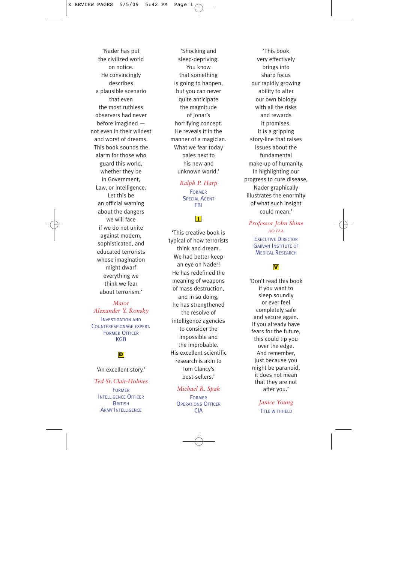'Nader has put the civilized world on notice. He convincingly describes a plausible scenario that even the most ruthless observers had never before imagined not even in their wildest and worst of dreams. This book sounds the alarm for those who guard this world, whether they be in Government, Law, or Intelligence. Let this be an official warning about the dangers we will face if we do not unite against modern, sophisticated, and educated terrorists whose imagination might dwarf everything we think we fear about terrorism.'

#### *Major Alexander Y. Ronsky* INVESTIGATION AND

COUNTERESPIONAGE EXPERT . FORMER OFFICER KGB

#### **D**

#### 'An excellent story.'

*Ted St. Clair-Holmes* FORMER INTELLIGENCE OFFICER **BRITISH ARMY INTELLIGENCE** 

'Shocking and sleep-depriving. You know that something is going to happen, but you can never quite anticipate the magnitude of Jonar's horrifying concept. He reveals it in the manner of a magician. What we fear today pales next to his new and unknown world.'

## *Ralph P. Harp* FORMER SPECIAL AGENT FBI

**I**

'This creative book is typical of how terrorists think and dream. We had better keep an eye on Nader! He has redefined the meaning of weapons of mass destruction, and in so doing, he has strengthened the resolve of intelligence agencies to consider the impossible and the improbable. His excellent scientific research is akin to Tom Clancy's best-sellers.'

#### *Michael R. Spak*

FORMER **OPERATIONS OFFICER** CIA

'This book very effectively brings into sharp focus our rapidly growing ability to alter our own biology with all the risks and rewards it promises. It is a gripping story-line that raises issues about the fundamental make-up of humanity. In highlighting our progress to cure disease, Nader graphically illustrates the enormity of what such insight could mean.'

*Professor John Shine AO FAA* EXECUTIVE DIRECTOR GARVAN INSTITUTE OF MEDICAL RESEARCH

'Don't read this book if you want to sleep soundly or ever feel completely safe and secure again. If you already have fears for the future, this could tip you over the edge. And remember, just because you might be paranoid, it does not mean that they are not after you.' **V**<br> **I't** read this begine the side of soundly<br>
or ever feel<br>
ompletely said<br>
d secure aga<br>
ou already has<br>
ness for the futt<br>
is could tip y<br>
wer the edge<br>
said remembe<br>
st because yes<br>
the parance<br>
does not meat<br>
they a

*Janice Young*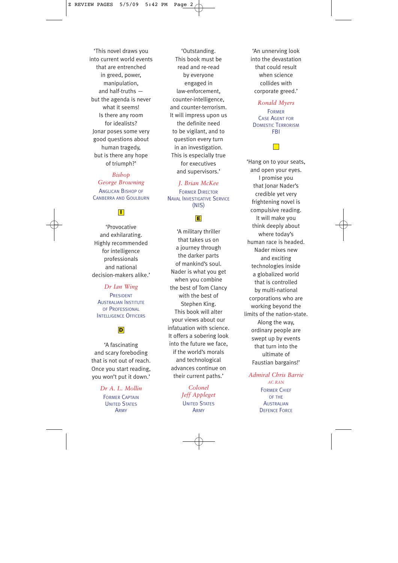'This novel draws you into current world events that are entrenched in greed, power, manipulation, and half-truths but the agenda is never what it seems! Is there any room for idealists? Jonar poses some very good questions about human tragedy, but is there any hope of triumph?'

*Bishop George Browning* ANGLICAN BISHOP OF CANBERRA AND GOULBURN

## **I**

'Provocative and exhilarating. Highly recommended for intelligence professionals and national decision-makers alike.'

*Dr Ian Wing* PRESIDENT AUSTRALIAN INSTITUTE OF PROFESSIONAL **INTELLIGENCE OFFICERS** 

## **D**

'A fascinating and scary foreboding that is not out of reach. Once you start reading, you won't put it down.'

> *Dr A. L. Mollin* FORMER CAPTAIN UNITED STATES ARMY

'Outstanding. This book must be read and re-read by everyone engaged in law-enforcement, counter-intelligence, and counter-terrorism. It will impress upon us the definite need to be vigilant, and to question every turn in an investigation. This is especially true for executives and supervisors.'

*J. Brian McKee* FORMER DIRECTOR NAVAL INVESTIGATIVE SERVICE (NIS)

### **E**

'A military thriller that takes us on a journey through the darker parts of mankind's soul. Nader is what you get when you combine the best of Tom Clancy with the best of Stephen King. This book will alter your views about our infatuation with science. It offers a sobering look into the future we face, if the world's morals and technological advances continue on their current paths.'

> *Colonel Jeff Appleget* UNITED STATES ARMY

'An unnerving look into the devastation that could result when science collides with corporate greed.'

*Ronald Myers* FORMER CASE AGENT FOR DOMESTIC TERRORISM FBI

'Hang on to your seats, and open your eyes. I promise you that Ionar Nader's credible yet very frightening novel is compulsive reading. It will make you think deeply about where today's human race is headed. Nader mixes new and exciting technologies inside a globalized world that is controlled by multi-national corporations who are working beyond the limits of the nation-state. Along the way, ordinary people are swept up by events that turn into the ultimate of Faustian bargains!'

*Admiral Chris Barrie AC RAN* FORMER CHIEF

OF THE **AUSTRALIAN DEFENCE FORCE**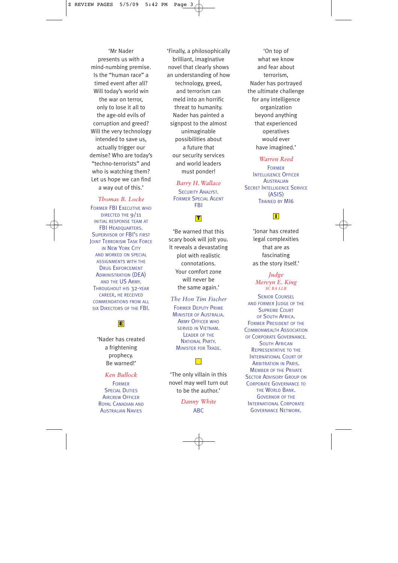'Mr Nader presents us with a mind-numbing premise. Is the "human race" a timed event after all? Will today's world win the war on terror, only to lose it all to the age-old evils of corruption and greed? Will the very technology intended to save us, actually trigger our demise? Who are today's "techno-terrorists" and who is watching them? Let us hope we can find a way out of this.'

*Thomas B. Locke* FORMER FBI EXECUTIVE WHO DIRECTED THE 9/11 INITIAL RESPONSE TEAM AT FBI HEADQUARTERS. SUPERVISOR OF FBI'S FIRST **JOINT TERRORISM TASK FORCE** IN NEW YORK CITY AND WORKED ON SPECIAL ASSIGNMENTS WITH THE DRUG ENFORCEMENT ADMINISTRATION (DEA) AND THE US ARMY. THROUGHOUT HIS 32-YEAR CAREER, HE RECEIVED COMMENDATIONS FROM ALL SIX DIRECTORS OF THE FBI.

> 'Nader has created a frightening prophecy. Be warned!'

**E**

#### *Ken Bullock*

FORMER **SPECIAL DUTIES** AIRCREW OFFICER ROYAL CANADIAN AND **AUSTRALIAN NAVIES** 

'Finally, a philosophically brilliant, imaginative novel that clearly shows an understanding of how technology, greed, and terrorism can meld into an horrific threat to humanity. Nader has painted a signpost to the almost unimaginable possibilities about a future that our security services and world leaders must ponder!

> *Barry H.Wallace* **SECURITY ANALYST.** FORMER SPECIAL AGENT FBI

## **I T**

'Be warned that this scary book will jolt you. It reveals a devastating plot with realistic connotations. Your comfort zone will never be the same again.'

*The Hon Tim Fischer* FORMER DEPUTY PRIME MINISTER OF AUSTRALIA. ARMY OFFICER WHO SERVED IN VIETNAM. LEADER OF THE NATIONAL PARTY. MINISTER FOR TRADE.

'The only villain in this novel may well turn out to be the author.'

> *Danny White* ABC

'On top of what we know and fear about terrorism, Nader has portrayed the ultimate challenge for any intelligence organization beyond anything that experienced operatives would ever have imagined.'

#### *Warren Reed*

FORMER INTELLIGENCE OFFICER **AUSTRALIAN SECRET INTELLIGENCE SERVICE** (ASIS) TRAINED BY MI6

'Jonar has created legal complexities that are as fascinating as the story itself.'

#### *Judge Mervyn E. King SC BA LLB*

**SENIOR COUNSEL** AND FORMER JUDGE OF THE SUPREME COURT OF SOUTH AFRICA. FORMER PRESIDENT OF THE COMMONWEALTH ASSOCIATION OF CORPORATE GOVERNANCE. **SOUTH AFRICAN** REPRESENTATIVE TO THE INTERNATIONAL COURT OF ARBITRATION IN PARIS. MEMBER OF THE PRIVATE **SECTOR ADVISORY GROUP ON** CORPORATE GOVERNANCE TO THE WORLD BANK. GOVERNOR OF THE INTERNATIONAL CORPORATE GOVERNANCE NETWORK.